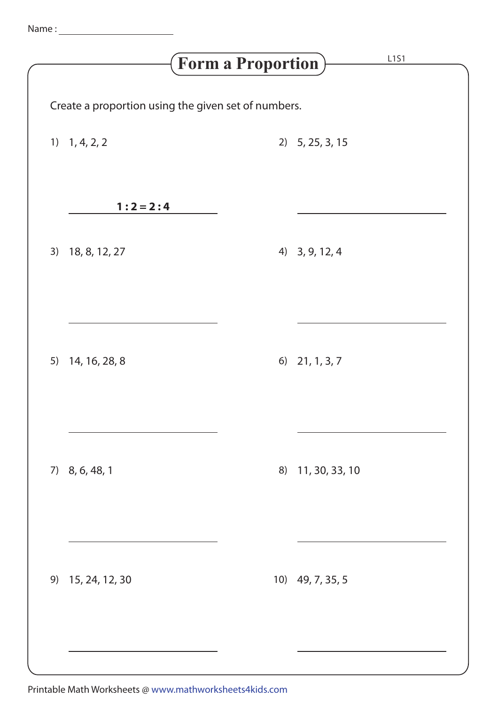| L1S1<br>$\left(\mathbf{Form}\text{ } \mathbf{a}\text{ }\mathbf{Proportion}\right)$ |                                                     |  |                   |  |  |  |  |
|------------------------------------------------------------------------------------|-----------------------------------------------------|--|-------------------|--|--|--|--|
|                                                                                    | Create a proportion using the given set of numbers. |  |                   |  |  |  |  |
|                                                                                    | $1)$ 1, 4, 2, 2                                     |  | $2)$ 5, 25, 3, 15 |  |  |  |  |
|                                                                                    | $1:2 = 2:4$                                         |  |                   |  |  |  |  |
| 3)                                                                                 | 18, 8, 12, 27                                       |  | 4) 3, 9, 12, 4    |  |  |  |  |
|                                                                                    |                                                     |  |                   |  |  |  |  |
|                                                                                    | 5) 14, 16, 28, 8                                    |  | 6) $21, 1, 3, 7$  |  |  |  |  |
|                                                                                    |                                                     |  |                   |  |  |  |  |
|                                                                                    | 7) 8, 6, 48, 1                                      |  | 8) 11, 30, 33, 10 |  |  |  |  |
|                                                                                    |                                                     |  |                   |  |  |  |  |
| 9)                                                                                 | 15, 24, 12, 30                                      |  | 10) 49, 7, 35, 5  |  |  |  |  |
|                                                                                    |                                                     |  |                   |  |  |  |  |